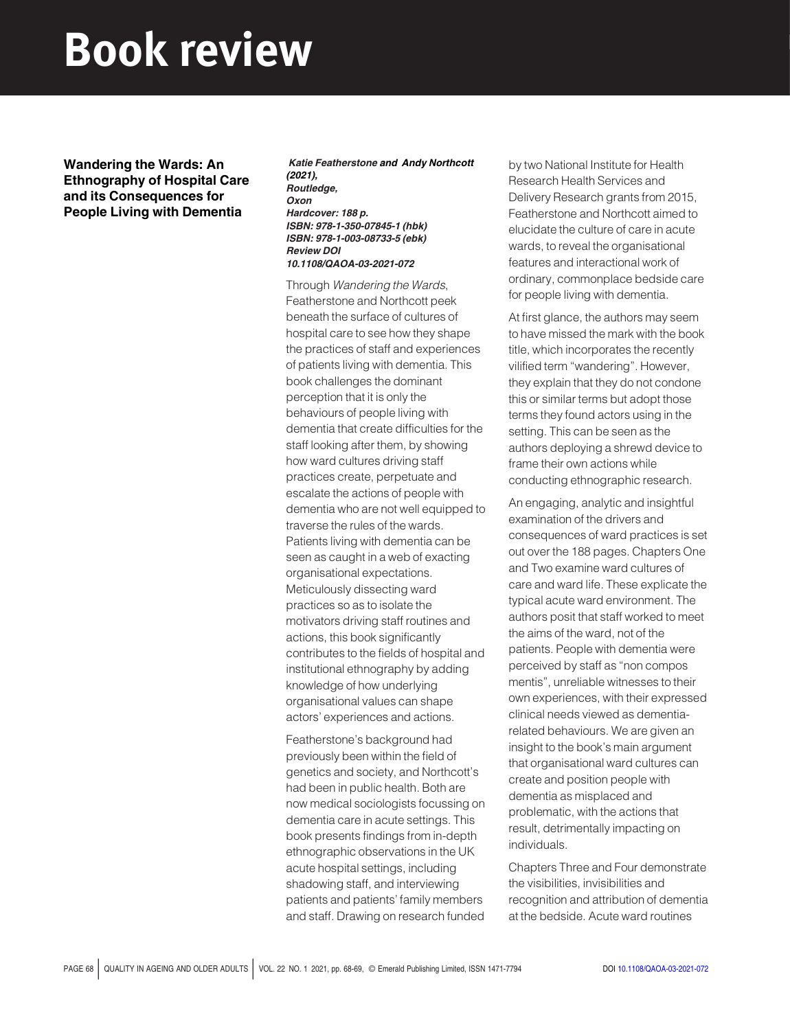## Book review

Wandering the Wards: An Ethnography of Hospital Care and its Consequences for People Living with Dementia

Katie Featherstone and Andy Northcott (2021), Routledge, **Oxon** Hardcover: 188 p. ISBN: 978-1-350-07845-1 (hbk) ISBN: 978-1-003-08733-5 (ebk) Review DOI 10.1108/QAOA-03-2021-072

Through Wandering the Wards, Featherstone and Northcott peek beneath the surface of cultures of hospital care to see how they shape the practices of staff and experiences of patients living with dementia. This book challenges the dominant perception that it is only the behaviours of people living with dementia that create difficulties for the staff looking after them, by showing how ward cultures driving staff practices create, perpetuate and escalate the actions of people with dementia who are not well equipped to traverse the rules of the wards. Patients living with dementia can be seen as caught in a web of exacting organisational expectations. Meticulously dissecting ward practices so as to isolate the motivators driving staff routines and actions, this book significantly contributes to the fields of hospital and institutional ethnography by adding knowledge of how underlying organisational values can shape actors' experiences and actions.

Featherstone's background had previously been within the field of genetics and society, and Northcott's had been in public health. Both are now medical sociologists focussing on dementia care in acute settings. This book presents findings from in-depth ethnographic observations in the UK acute hospital settings, including shadowing staff, and interviewing patients and patients' family members and staff. Drawing on research funded by two National Institute for Health Research Health Services and Delivery Research grants from 2015, Featherstone and Northcott aimed to elucidate the culture of care in acute wards, to reveal the organisational features and interactional work of ordinary, commonplace bedside care for people living with dementia.

At first glance, the authors may seem to have missed the mark with the book title, which incorporates the recently vilified term "wandering". However, they explain that they do not condone this or similar terms but adopt those terms they found actors using in the setting. This can be seen as the authors deploying a shrewd device to frame their own actions while conducting ethnographic research.

An engaging, analytic and insightful examination of the drivers and consequences of ward practices is set out over the 188 pages. Chapters One and Two examine ward cultures of care and ward life. These explicate the typical acute ward environment. The authors posit that staff worked to meet the aims of the ward, not of the patients. People with dementia were perceived by staff as "non compos mentis", unreliable witnesses to their own experiences, with their expressed clinical needs viewed as dementiarelated behaviours. We are given an insight to the book's main argument that organisational ward cultures can create and position people with dementia as misplaced and problematic, with the actions that result, detrimentally impacting on individuals.

Chapters Three and Four demonstrate the visibilities, invisibilities and recognition and attribution of dementia at the bedside. Acute ward routines